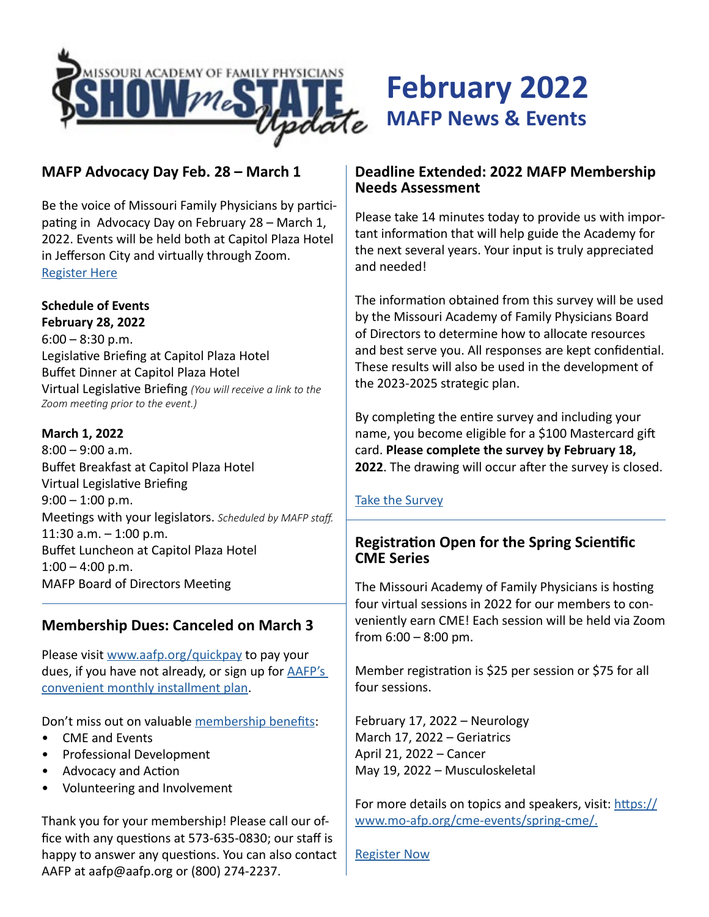

# **MAFP Advocacy Day Feb. 28 – March 1**

Be the voice of Missouri Family Physicians by participating in Advocacy Day on February 28 – March 1, 2022. Events will be held both at Capitol Plaza Hotel in Jefferson City and virtually through Zoom. [Register Here](https://moafp.formstack.com/forms/advocacy_day_registration)

### **Schedule of Events**

**February 28, 2022**  $6:00 - 8:30$  p.m. Legislative Briefing at Capitol Plaza Hotel Buffet Dinner at Capitol Plaza Hotel Virtual Legislative Briefing *(You will receive a link to the Zoom meeting prior to the event.)*

#### **March 1, 2022**

8:00 – 9:00 a.m. Buffet Breakfast at Capitol Plaza Hotel Virtual Legislative Briefing  $9:00 - 1:00$  p.m. Meetings with your legislators. *Scheduled by MAFP staff.* 11:30 a.m. – 1:00 p.m. Buffet Luncheon at Capitol Plaza Hotel  $1:00 - 4:00$  p.m. MAFP Board of Directors Meeting

## **Membership Dues: Canceled on March 3**

Please visit [www.aafp.org/quickpay](https://www.aafp.org/ecommerce/quickpay?cmpid=_van_771) to pay your dues, if you have not already, or sign up for [AAFP's](https://nf.aafp.org/myacademy/memberdues/checkmydues?%25%cf_duesquickpayurl%25%25&cmpid=em_%25%25message_id%25%25_L1)  [convenient monthly installment plan](https://nf.aafp.org/myacademy/memberdues/checkmydues?%25%cf_duesquickpayurl%25%25&cmpid=em_%25%25message_id%25%25_L1).

Don't miss out on valuable [membership benefits](https://www.mo-afp.org/join/benefits/):

- CME and Events
- Professional Development
- Advocacy and Action
- Volunteering and Involvement

Thank you for your membership! Please call our office with any questions at 573-635-0830; our staff is happy to answer any questions. You can also contact AAFP at aafp@aafp.org or (800) 274-2237.

## **Deadline Extended: 2022 MAFP Membership Needs Assessment**

**February 2022**

**MAFP News & Events**

Please take 14 minutes today to provide us with important information that will help guide the Academy for the next several years. Your input is truly appreciated and needed!

The information obtained from this survey will be used by the Missouri Academy of Family Physicians Board of Directors to determine how to allocate resources and best serve you. All responses are kept confidential. These results will also be used in the development of the 2023-2025 strategic plan.

By completing the entire survey and including your name, you become eligible for a \$100 Mastercard gift card. **Please complete the survey by February 18, 2022**. The drawing will occur after the survey is closed.

### [Take the Survey](https://www.surveymonkey.com/r/MAFPmembers)

## **Registration Open for the Spring Scientific CME Series**

The Missouri Academy of Family Physicians is hosting four virtual sessions in 2022 for our members to conveniently earn CME! Each session will be held via Zoom from  $6:00 - 8:00$  pm.

Member registration is \$25 per session or \$75 for all four sessions.

February 17, 2022 – Neurology March 17, 2022 – Geriatrics April 21, 2022 – Cancer May 19, 2022 – Musculoskeletal

For more details on topics and speakers, visit: [https://](https://www.mo-afp.org/cme-events/spring-cme/ ) [www.mo-afp.org/cme-events/spring-cme/.](https://www.mo-afp.org/cme-events/spring-cme/ )

[Register Now](https://moafp.formstack.com/forms/cme_virtual)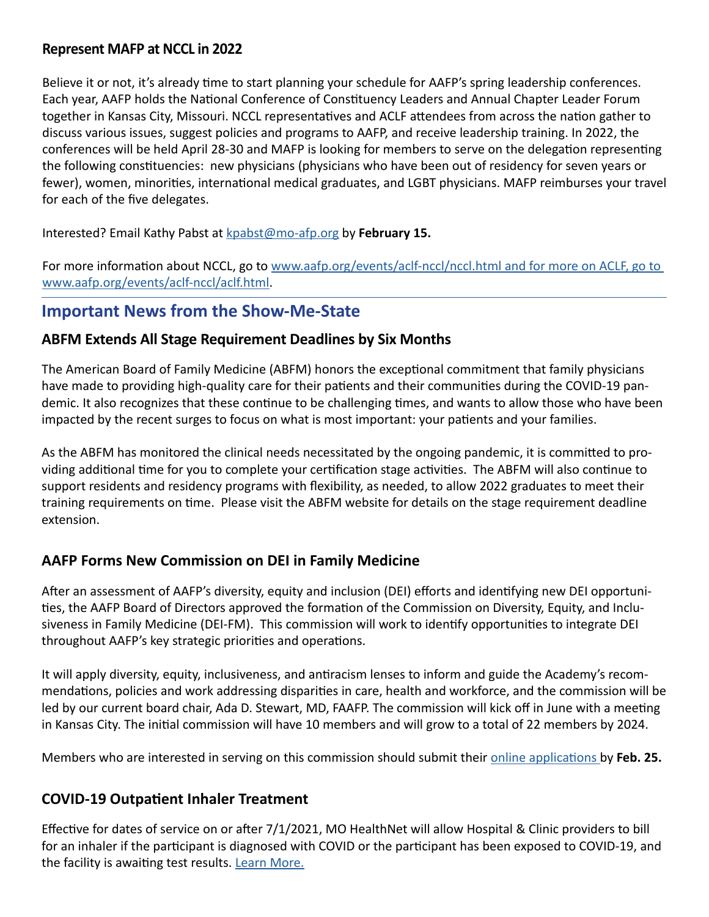## **Represent MAFP at NCCL in 2022**

Believe it or not, it's already time to start planning your schedule for AAFP's spring leadership conferences. Each year, AAFP holds the National Conference of Constituency Leaders and Annual Chapter Leader Forum together in Kansas City, Missouri. NCCL representatives and ACLF attendees from across the nation gather to discuss various issues, suggest policies and programs to AAFP, and receive leadership training. In 2022, the conferences will be held April 28-30 and MAFP is looking for members to serve on the delegation representing the following constituencies: new physicians (physicians who have been out of residency for seven years or fewer), women, minorities, international medical graduates, and LGBT physicians. MAFP reimburses your travel for each of the five delegates.

Interested? Email Kathy Pabst at [kpabst@mo-afp.org](mailto:kpabst%40mo-afp.org?subject=) by **February 15.**

For more information about NCCL, go to www.aafp.org/events/aclf-nccl/nccl.html and for more on ACLF, go to [www.aafp.org/events/aclf-nccl/aclf.html.](http://www.aafp.org/events/aclf-nccl/nccl.html and for more on ACLF, go to www.aafp.org/events/aclf-nccl/aclf.html)

# **Important News from the Show-Me-State**

# **ABFM Extends All Stage Requirement Deadlines by Six Months**

The American Board of Family Medicine (ABFM) honors the exceptional commitment that family physicians have made to providing high-quality care for their patients and their communities during the COVID-19 pandemic. It also recognizes that these continue to be challenging times, and wants to allow those who have been impacted by the recent surges to focus on what is most important: your patients and your families.

As the ABFM has monitored the clinical needs necessitated by the ongoing pandemic, it is committed to providing additional time for you to complete your certification stage activities. The ABFM will also continue to support residents and residency programs with flexibility, as needed, to allow 2022 graduates to meet their training requirements on time. Please visit the ABFM website for details on the stage requirement deadline extension.

# **AAFP Forms New Commission on DEI in Family Medicine**

After an assessment of AAFP's diversity, equity and inclusion (DEI) efforts and identifying new DEI opportunities, the AAFP Board of Directors approved the formation of the Commission on Diversity, Equity, and Inclusiveness in Family Medicine (DEI-FM). This commission will work to identify opportunities to integrate DEI throughout AAFP's key strategic priorities and operations.

It will apply diversity, equity, inclusiveness, and antiracism lenses to inform and guide the Academy's recommendations, policies and work addressing disparities in care, health and workforce, and the commission will be led by our current board chair, Ada D. Stewart, MD, FAAFP. The commission will kick off in June with a meeting in Kansas City. The initial commission will have 10 members and will grow to a total of 22 members by 2024.

Members who are interested in serving on this commission should submit their [online applications](https://forms.office.com/r/fhDv95YPx0) by **Feb. 25.**

# **COVID-19 Outpatient Inhaler Treatment**

Effective for dates of service on or after 7/1/2021, MO HealthNet will allow Hospital & Clinic providers to bill for an inhaler if the participant is diagnosed with COVID or the participant has been exposed to COVID-19, and the facility is awaiting test results. [Learn More.](https://dss.mo.gov/mhd/providers/pages/provtips.htm#012822)